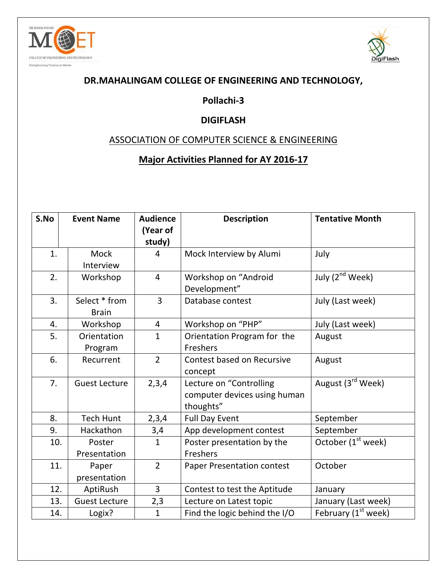



## **DR.MAHALINGAM COLLEGE OF ENGINEERING AND TECHNOLOGY,**

# **Pollachi-3**

#### **DIGIFLASH**

### ASSOCIATION OF COMPUTER SCIENCE & ENGINEERING

## **Major Activities Planned for AY 2016-17**

| S.No | <b>Event Name</b>    | <b>Audience</b><br>(Year of | <b>Description</b>                | <b>Tentative Month</b>        |  |
|------|----------------------|-----------------------------|-----------------------------------|-------------------------------|--|
|      |                      | study)                      |                                   |                               |  |
| 1.   | <b>Mock</b>          | 4                           | Mock Interview by Alumi           | July                          |  |
|      | Interview            |                             |                                   |                               |  |
| 2.   | Workshop             | $\overline{4}$              | Workshop on "Android              | July (2 <sup>nd</sup> Week)   |  |
|      |                      |                             | Development"                      |                               |  |
| 3.   | Select * from        | $\overline{3}$              | Database contest                  | July (Last week)              |  |
|      | <b>Brain</b>         |                             |                                   |                               |  |
| 4.   | Workshop             | 4                           | Workshop on "PHP"                 | July (Last week)              |  |
| 5.   | Orientation          | $\mathbf{1}$                | Orientation Program for the       | August                        |  |
|      | Program              |                             | Freshers                          |                               |  |
| 6.   | Recurrent            | $\overline{2}$              | Contest based on Recursive        | August                        |  |
|      |                      |                             | concept                           |                               |  |
| 7.   | <b>Guest Lecture</b> | 2,3,4                       | Lecture on "Controlling           | August (3 <sup>rd</sup> Week) |  |
|      |                      |                             | computer devices using human      |                               |  |
|      |                      |                             | thoughts"                         |                               |  |
| 8.   | <b>Tech Hunt</b>     | 2,3,4                       | <b>Full Day Event</b>             | September                     |  |
| 9.   | Hackathon            | 3,4                         | App development contest           | September                     |  |
| 10.  | Poster               | $\mathbf{1}$                | Poster presentation by the        | October $(1st$ week)          |  |
|      | Presentation         |                             | Freshers                          |                               |  |
| 11.  | Paper                | $\overline{2}$              | <b>Paper Presentation contest</b> | October                       |  |
|      | presentation         |                             |                                   |                               |  |
| 12.  | AptiRush             | $\overline{3}$              | Contest to test the Aptitude      | January                       |  |
| 13.  | <b>Guest Lecture</b> | 2,3                         | Lecture on Latest topic           | January (Last week)           |  |
| 14.  | Logix?               | $\mathbf{1}$                | Find the logic behind the I/O     | February $(1st$ week)         |  |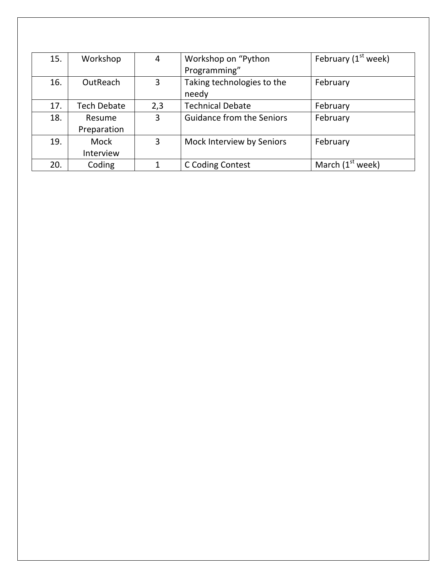| 15. | Workshop           | 4   | Workshop on "Python              | February $(1st$ week) |
|-----|--------------------|-----|----------------------------------|-----------------------|
|     |                    |     | Programming"                     |                       |
| 16. | OutReach           | 3   | Taking technologies to the       | February              |
|     |                    |     | needy                            |                       |
| 17. | <b>Tech Debate</b> | 2,3 | <b>Technical Debate</b>          | February              |
| 18. | Resume             | 3   | <b>Guidance from the Seniors</b> | February              |
|     | Preparation        |     |                                  |                       |
| 19. | Mock               | 3   | Mock Interview by Seniors        | February              |
|     | Interview          |     |                                  |                       |
| 20. | Coding             |     | C Coding Contest                 | March $(1st$ week)    |